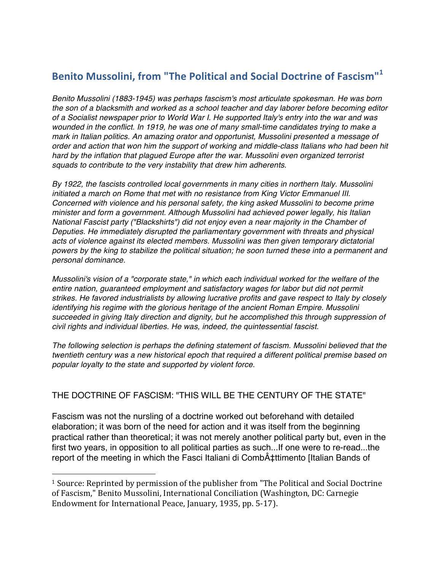## Benito Mussolini, from "The Political and Social Doctrine of Fascism"<sup>1</sup>

*Benito Mussolini (1883-1945) was perhaps fascism's most articulate spokesman. He was born the son of a blacksmith and worked as a school teacher and day laborer before becoming editor of a Socialist newspaper prior to World War I. He supported Italy's entry into the war and was wounded in the conflict. In 1919, he was one of many small-time candidates trying to make a mark in Italian politics. An amazing orator and opportunist, Mussolini presented a message of order and action that won him the support of working and middle-class Italians who had been hit hard by the inflation that plagued Europe after the war. Mussolini even organized terrorist squads to contribute to the very instability that drew him adherents.*

*By 1922, the fascists controlled local governments in many cities in northern Italy. Mussolini initiated a march on Rome that met with no resistance from King Victor Emmanuel III. Concerned with violence and his personal safety, the king asked Mussolini to become prime minister and form a government. Although Mussolini had achieved power legally, his Italian National Fascist party ("Blackshirts") did not enjoy even a near majority in the Chamber of Deputies. He immediately disrupted the parliamentary government with threats and physical acts of violence against its elected members. Mussolini was then given temporary dictatorial powers by the king to stabilize the political situation; he soon turned these into a permanent and personal dominance.*

*Mussolini's vision of a "corporate state," in which each individual worked for the welfare of the entire nation, guaranteed employment and satisfactory wages for labor but did not permit strikes. He favored industrialists by allowing lucrative profits and gave respect to Italy by closely identifying his regime with the glorious heritage of the ancient Roman Empire. Mussolini succeeded in giving Italy direction and dignity, but he accomplished this through suppression of civil rights and individual liberties. He was, indeed, the quintessential fascist.*

*The following selection is perhaps the defining statement of fascism. Mussolini believed that the twentieth century was a new historical epoch that required a different political premise based on popular loyalty to the state and supported by violent force.*

## THE DOCTRINE OF FASCISM: "THIS WILL BE THE CENTURY OF THE STATE"

Fascism was not the nursling of a doctrine worked out beforehand with detailed elaboration; it was born of the need for action and it was itself from the beginning practical rather than theoretical; it was not merely another political party but, even in the first two years, in opposition to all political parties as such...If one were to re-read...the report of the meeting in which the Fasci Italiani di Comb‡ttimento [Italian Bands of

 

<sup>&</sup>lt;sup>1</sup> Source: Reprinted by permission of the publisher from "The Political and Social Doctrine of Fascism," Benito Mussolini, International Conciliation (Washington, DC: Carnegie Endowment for International Peace, January, 1935, pp. 5-17).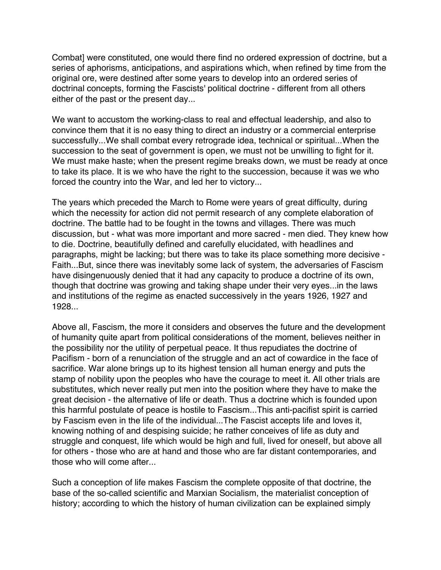Combat] were constituted, one would there find no ordered expression of doctrine, but a series of aphorisms, anticipations, and aspirations which, when refined by time from the original ore, were destined after some years to develop into an ordered series of doctrinal concepts, forming the Fascists' political doctrine - different from all others either of the past or the present day...

We want to accustom the working-class to real and effectual leadership, and also to convince them that it is no easy thing to direct an industry or a commercial enterprise successfully...We shall combat every retrograde idea, technical or spiritual...When the succession to the seat of government is open, we must not be unwilling to fight for it. We must make haste; when the present regime breaks down, we must be ready at once to take its place. It is we who have the right to the succession, because it was we who forced the country into the War, and led her to victory...

The years which preceded the March to Rome were years of great difficulty, during which the necessity for action did not permit research of any complete elaboration of doctrine. The battle had to be fought in the towns and villages. There was much discussion, but - what was more important and more sacred - men died. They knew how to die. Doctrine, beautifully defined and carefully elucidated, with headlines and paragraphs, might be lacking; but there was to take its place something more decisive - Faith...But, since there was inevitably some lack of system, the adversaries of Fascism have disingenuously denied that it had any capacity to produce a doctrine of its own, though that doctrine was growing and taking shape under their very eyes...in the laws and institutions of the regime as enacted successively in the years 1926, 1927 and 1928...

Above all, Fascism, the more it considers and observes the future and the development of humanity quite apart from political considerations of the moment, believes neither in the possibility nor the utility of perpetual peace. It thus repudiates the doctrine of Pacifism - born of a renunciation of the struggle and an act of cowardice in the face of sacrifice. War alone brings up to its highest tension all human energy and puts the stamp of nobility upon the peoples who have the courage to meet it. All other trials are substitutes, which never really put men into the position where they have to make the great decision - the alternative of life or death. Thus a doctrine which is founded upon this harmful postulate of peace is hostile to Fascism...This anti-pacifist spirit is carried by Fascism even in the life of the individual...The Fascist accepts life and loves it, knowing nothing of and despising suicide; he rather conceives of life as duty and struggle and conquest, life which would be high and full, lived for oneself, but above all for others - those who are at hand and those who are far distant contemporaries, and those who will come after...

Such a conception of life makes Fascism the complete opposite of that doctrine, the base of the so-called scientific and Marxian Socialism, the materialist conception of history; according to which the history of human civilization can be explained simply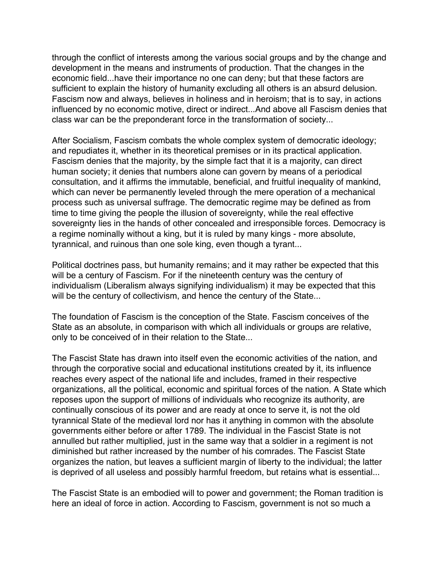through the conflict of interests among the various social groups and by the change and development in the means and instruments of production. That the changes in the economic field...have their importance no one can deny; but that these factors are sufficient to explain the history of humanity excluding all others is an absurd delusion. Fascism now and always, believes in holiness and in heroism; that is to say, in actions influenced by no economic motive, direct or indirect...And above all Fascism denies that class war can be the preponderant force in the transformation of society...

After Socialism, Fascism combats the whole complex system of democratic ideology; and repudiates it, whether in its theoretical premises or in its practical application. Fascism denies that the majority, by the simple fact that it is a majority, can direct human society; it denies that numbers alone can govern by means of a periodical consultation, and it affirms the immutable, beneficial, and fruitful inequality of mankind, which can never be permanently leveled through the mere operation of a mechanical process such as universal suffrage. The democratic regime may be defined as from time to time giving the people the illusion of sovereignty, while the real effective sovereignty lies in the hands of other concealed and irresponsible forces. Democracy is a regime nominally without a king, but it is ruled by many kings - more absolute, tyrannical, and ruinous than one sole king, even though a tyrant...

Political doctrines pass, but humanity remains; and it may rather be expected that this will be a century of Fascism. For if the nineteenth century was the century of individualism (Liberalism always signifying individualism) it may be expected that this will be the century of collectivism, and hence the century of the State...

The foundation of Fascism is the conception of the State. Fascism conceives of the State as an absolute, in comparison with which all individuals or groups are relative, only to be conceived of in their relation to the State...

The Fascist State has drawn into itself even the economic activities of the nation, and through the corporative social and educational institutions created by it, its influence reaches every aspect of the national life and includes, framed in their respective organizations, all the political, economic and spiritual forces of the nation. A State which reposes upon the support of millions of individuals who recognize its authority, are continually conscious of its power and are ready at once to serve it, is not the old tyrannical State of the medieval lord nor has it anything in common with the absolute governments either before or after 1789. The individual in the Fascist State is not annulled but rather multiplied, just in the same way that a soldier in a regiment is not diminished but rather increased by the number of his comrades. The Fascist State organizes the nation, but leaves a sufficient margin of liberty to the individual; the latter is deprived of all useless and possibly harmful freedom, but retains what is essential...

The Fascist State is an embodied will to power and government; the Roman tradition is here an ideal of force in action. According to Fascism, government is not so much a